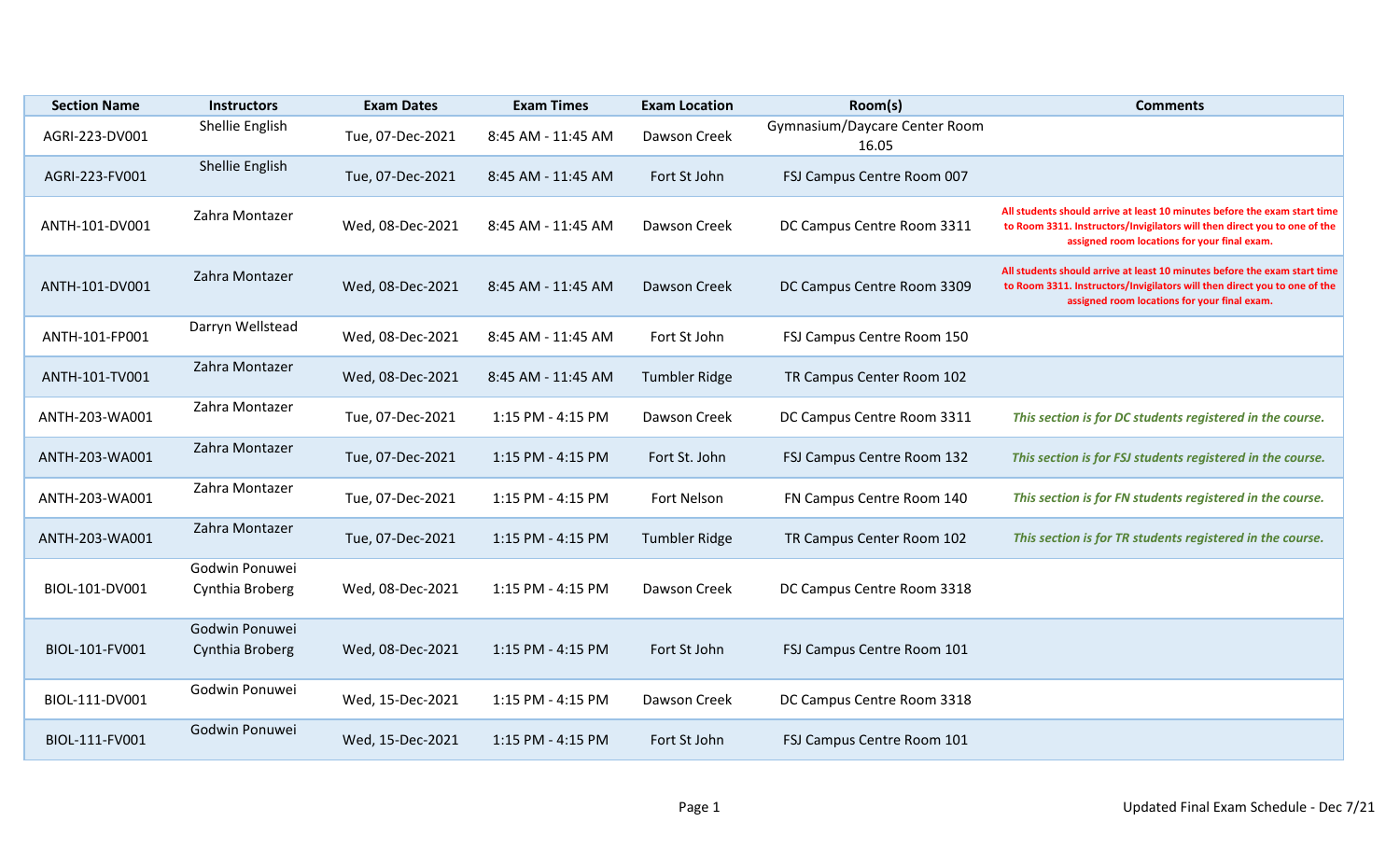| <b>Section Name</b> | <b>Instructors</b>                | <b>Exam Dates</b> | <b>Exam Times</b>  | <b>Exam Location</b> | Room(s)                                | <b>Comments</b>                                                                                                                                                                                        |
|---------------------|-----------------------------------|-------------------|--------------------|----------------------|----------------------------------------|--------------------------------------------------------------------------------------------------------------------------------------------------------------------------------------------------------|
| AGRI-223-DV001      | Shellie English                   | Tue, 07-Dec-2021  | 8:45 AM - 11:45 AM | Dawson Creek         | Gymnasium/Daycare Center Room<br>16.05 |                                                                                                                                                                                                        |
| AGRI-223-FV001      | Shellie English                   | Tue, 07-Dec-2021  | 8:45 AM - 11:45 AM | Fort St John         | FSJ Campus Centre Room 007             |                                                                                                                                                                                                        |
| ANTH-101-DV001      | Zahra Montazer                    | Wed, 08-Dec-2021  | 8:45 AM - 11:45 AM | Dawson Creek         | DC Campus Centre Room 3311             | All students should arrive at least 10 minutes before the exam start time<br>to Room 3311. Instructors/Invigilators will then direct you to one of the<br>assigned room locations for your final exam. |
| ANTH-101-DV001      | Zahra Montazer                    | Wed, 08-Dec-2021  | 8:45 AM - 11:45 AM | Dawson Creek         | DC Campus Centre Room 3309             | All students should arrive at least 10 minutes before the exam start time<br>to Room 3311. Instructors/Invigilators will then direct you to one of the<br>assigned room locations for your final exam. |
| ANTH-101-FP001      | Darryn Wellstead                  | Wed, 08-Dec-2021  | 8:45 AM - 11:45 AM | Fort St John         | FSJ Campus Centre Room 150             |                                                                                                                                                                                                        |
| ANTH-101-TV001      | Zahra Montazer                    | Wed, 08-Dec-2021  | 8:45 AM - 11:45 AM | <b>Tumbler Ridge</b> | TR Campus Center Room 102              |                                                                                                                                                                                                        |
| ANTH-203-WA001      | Zahra Montazer                    | Tue, 07-Dec-2021  | 1:15 PM - 4:15 PM  | Dawson Creek         | DC Campus Centre Room 3311             | This section is for DC students registered in the course.                                                                                                                                              |
| ANTH-203-WA001      | Zahra Montazer                    | Tue, 07-Dec-2021  | 1:15 PM - 4:15 PM  | Fort St. John        | FSJ Campus Centre Room 132             | This section is for FSJ students registered in the course.                                                                                                                                             |
| ANTH-203-WA001      | Zahra Montazer                    | Tue, 07-Dec-2021  | 1:15 PM - 4:15 PM  | Fort Nelson          | FN Campus Centre Room 140              | This section is for FN students registered in the course.                                                                                                                                              |
| ANTH-203-WA001      | Zahra Montazer                    | Tue, 07-Dec-2021  | 1:15 PM - 4:15 PM  | <b>Tumbler Ridge</b> | TR Campus Center Room 102              | This section is for TR students registered in the course.                                                                                                                                              |
| BIOL-101-DV001      | Godwin Ponuwei<br>Cynthia Broberg | Wed, 08-Dec-2021  | 1:15 PM - 4:15 PM  | Dawson Creek         | DC Campus Centre Room 3318             |                                                                                                                                                                                                        |
| BIOL-101-FV001      | Godwin Ponuwei<br>Cynthia Broberg | Wed, 08-Dec-2021  | 1:15 PM - 4:15 PM  | Fort St John         | FSJ Campus Centre Room 101             |                                                                                                                                                                                                        |
| BIOL-111-DV001      | Godwin Ponuwei                    | Wed, 15-Dec-2021  | 1:15 PM - 4:15 PM  | Dawson Creek         | DC Campus Centre Room 3318             |                                                                                                                                                                                                        |
| BIOL-111-FV001      | Godwin Ponuwei                    | Wed, 15-Dec-2021  | 1:15 PM - 4:15 PM  | Fort St John         | FSJ Campus Centre Room 101             |                                                                                                                                                                                                        |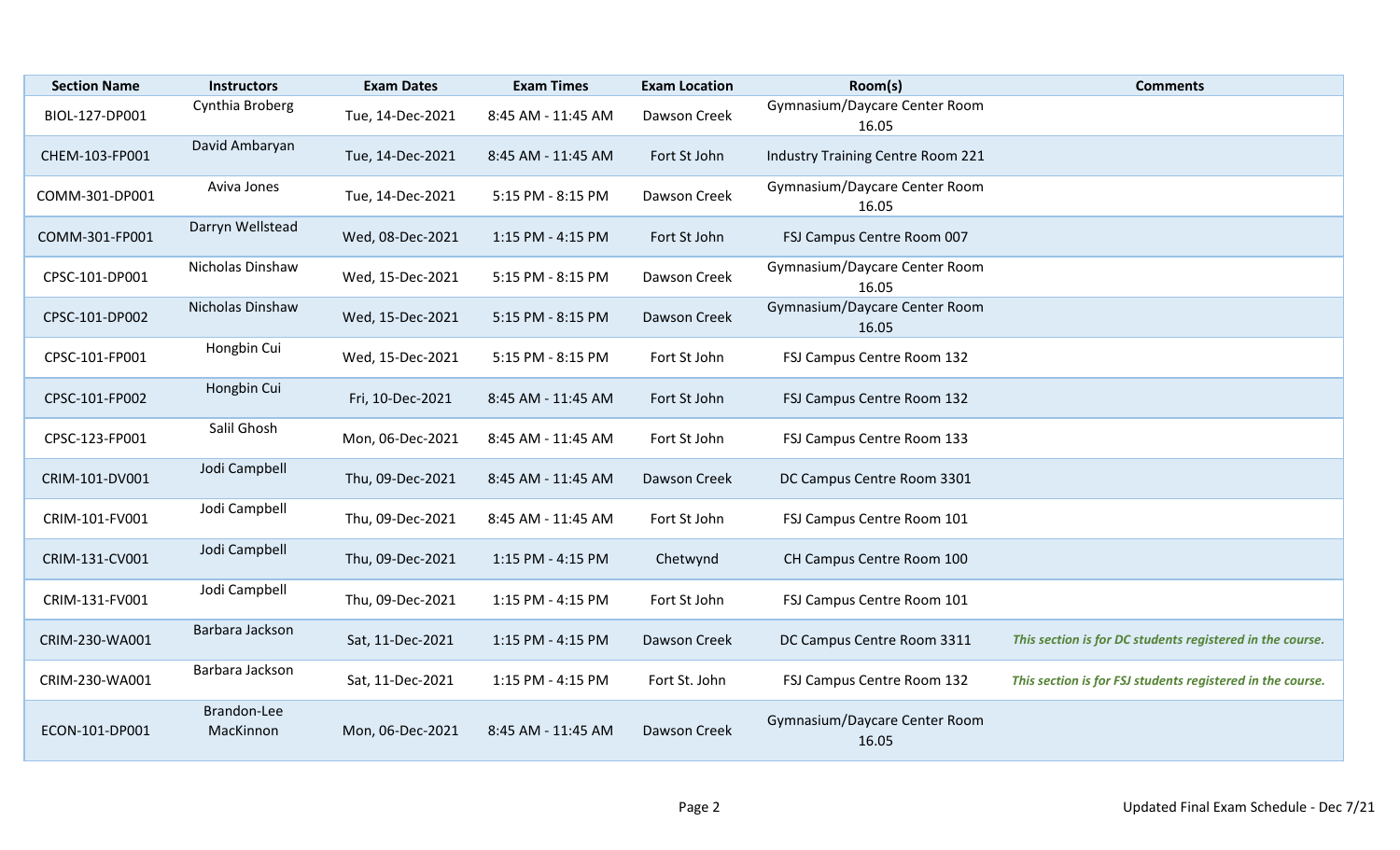| <b>Section Name</b> | <b>Instructors</b>       | <b>Exam Dates</b> | <b>Exam Times</b>  | <b>Exam Location</b> | Room(s)                                | <b>Comments</b>                                            |
|---------------------|--------------------------|-------------------|--------------------|----------------------|----------------------------------------|------------------------------------------------------------|
| BIOL-127-DP001      | Cynthia Broberg          | Tue, 14-Dec-2021  | 8:45 AM - 11:45 AM | Dawson Creek         | Gymnasium/Daycare Center Room<br>16.05 |                                                            |
| CHEM-103-FP001      | David Ambaryan           | Tue, 14-Dec-2021  | 8:45 AM - 11:45 AM | Fort St John         | Industry Training Centre Room 221      |                                                            |
| COMM-301-DP001      | Aviva Jones              | Tue, 14-Dec-2021  | 5:15 PM - 8:15 PM  | Dawson Creek         | Gymnasium/Daycare Center Room<br>16.05 |                                                            |
| COMM-301-FP001      | Darryn Wellstead         | Wed, 08-Dec-2021  | 1:15 PM - 4:15 PM  | Fort St John         | FSJ Campus Centre Room 007             |                                                            |
| CPSC-101-DP001      | Nicholas Dinshaw         | Wed, 15-Dec-2021  | 5:15 PM - 8:15 PM  | Dawson Creek         | Gymnasium/Daycare Center Room<br>16.05 |                                                            |
| CPSC-101-DP002      | Nicholas Dinshaw         | Wed, 15-Dec-2021  | 5:15 PM - 8:15 PM  | Dawson Creek         | Gymnasium/Daycare Center Room<br>16.05 |                                                            |
| CPSC-101-FP001      | Hongbin Cui              | Wed, 15-Dec-2021  | 5:15 PM - 8:15 PM  | Fort St John         | FSJ Campus Centre Room 132             |                                                            |
| CPSC-101-FP002      | Hongbin Cui              | Fri, 10-Dec-2021  | 8:45 AM - 11:45 AM | Fort St John         | FSJ Campus Centre Room 132             |                                                            |
| CPSC-123-FP001      | Salil Ghosh              | Mon, 06-Dec-2021  | 8:45 AM - 11:45 AM | Fort St John         | FSJ Campus Centre Room 133             |                                                            |
| CRIM-101-DV001      | Jodi Campbell            | Thu, 09-Dec-2021  | 8:45 AM - 11:45 AM | Dawson Creek         | DC Campus Centre Room 3301             |                                                            |
| CRIM-101-FV001      | Jodi Campbell            | Thu, 09-Dec-2021  | 8:45 AM - 11:45 AM | Fort St John         | FSJ Campus Centre Room 101             |                                                            |
| CRIM-131-CV001      | Jodi Campbell            | Thu, 09-Dec-2021  | 1:15 PM - 4:15 PM  | Chetwynd             | CH Campus Centre Room 100              |                                                            |
| CRIM-131-FV001      | Jodi Campbell            | Thu, 09-Dec-2021  | 1:15 PM - 4:15 PM  | Fort St John         | FSJ Campus Centre Room 101             |                                                            |
| CRIM-230-WA001      | Barbara Jackson          | Sat, 11-Dec-2021  | 1:15 PM - 4:15 PM  | Dawson Creek         | DC Campus Centre Room 3311             | This section is for DC students registered in the course.  |
| CRIM-230-WA001      | Barbara Jackson          | Sat, 11-Dec-2021  | 1:15 PM - 4:15 PM  | Fort St. John        | FSJ Campus Centre Room 132             | This section is for FSJ students registered in the course. |
| ECON-101-DP001      | Brandon-Lee<br>MacKinnon | Mon, 06-Dec-2021  | 8:45 AM - 11:45 AM | Dawson Creek         | Gymnasium/Daycare Center Room<br>16.05 |                                                            |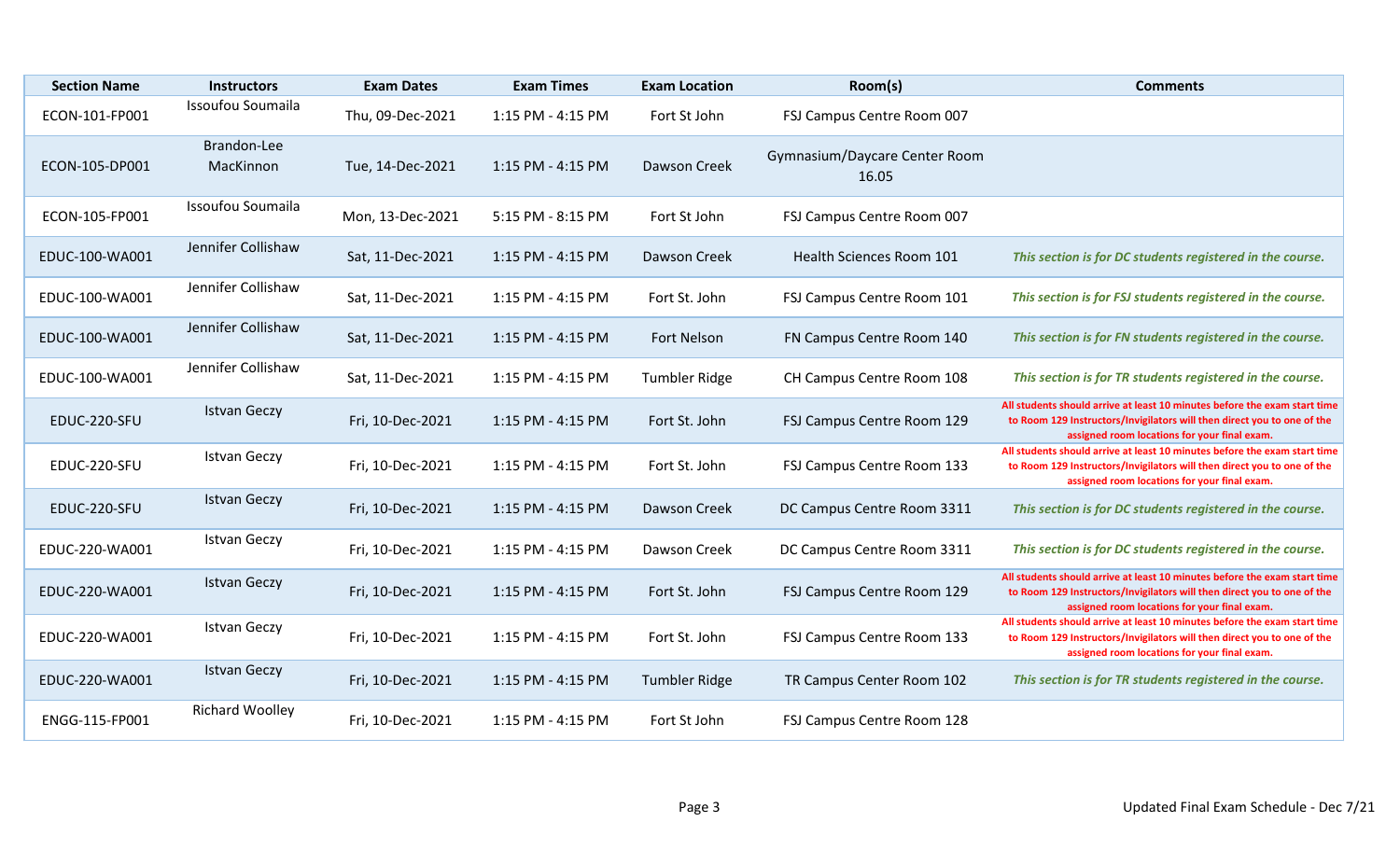| <b>Section Name</b> | <b>Instructors</b>       | <b>Exam Dates</b> | <b>Exam Times</b> | <b>Exam Location</b> | Room(s)                                | <b>Comments</b>                                                                                                                                                                                      |
|---------------------|--------------------------|-------------------|-------------------|----------------------|----------------------------------------|------------------------------------------------------------------------------------------------------------------------------------------------------------------------------------------------------|
| ECON-101-FP001      | Issoufou Soumaila        | Thu, 09-Dec-2021  | 1:15 PM - 4:15 PM | Fort St John         | FSJ Campus Centre Room 007             |                                                                                                                                                                                                      |
| ECON-105-DP001      | Brandon-Lee<br>MacKinnon | Tue, 14-Dec-2021  | 1:15 PM - 4:15 PM | Dawson Creek         | Gymnasium/Daycare Center Room<br>16.05 |                                                                                                                                                                                                      |
| ECON-105-FP001      | Issoufou Soumaila        | Mon, 13-Dec-2021  | 5:15 PM - 8:15 PM | Fort St John         | FSJ Campus Centre Room 007             |                                                                                                                                                                                                      |
| EDUC-100-WA001      | Jennifer Collishaw       | Sat, 11-Dec-2021  | 1:15 PM - 4:15 PM | Dawson Creek         | Health Sciences Room 101               | This section is for DC students registered in the course.                                                                                                                                            |
| EDUC-100-WA001      | Jennifer Collishaw       | Sat, 11-Dec-2021  | 1:15 PM - 4:15 PM | Fort St. John        | FSJ Campus Centre Room 101             | This section is for FSJ students registered in the course.                                                                                                                                           |
| EDUC-100-WA001      | Jennifer Collishaw       | Sat, 11-Dec-2021  | 1:15 PM - 4:15 PM | <b>Fort Nelson</b>   | FN Campus Centre Room 140              | This section is for FN students registered in the course.                                                                                                                                            |
| EDUC-100-WA001      | Jennifer Collishaw       | Sat, 11-Dec-2021  | 1:15 PM - 4:15 PM | <b>Tumbler Ridge</b> | CH Campus Centre Room 108              | This section is for TR students registered in the course.                                                                                                                                            |
| EDUC-220-SFU        | <b>Istvan Geczy</b>      | Fri, 10-Dec-2021  | 1:15 PM - 4:15 PM | Fort St. John        | FSJ Campus Centre Room 129             | All students should arrive at least 10 minutes before the exam start time<br>to Room 129 Instructors/Invigilators will then direct you to one of the<br>assigned room locations for your final exam. |
| EDUC-220-SFU        | <b>Istvan Geczy</b>      | Fri, 10-Dec-2021  | 1:15 PM - 4:15 PM | Fort St. John        | FSJ Campus Centre Room 133             | All students should arrive at least 10 minutes before the exam start time<br>to Room 129 Instructors/Invigilators will then direct you to one of the<br>assigned room locations for your final exam. |
| EDUC-220-SFU        | <b>Istvan Geczy</b>      | Fri, 10-Dec-2021  | 1:15 PM - 4:15 PM | Dawson Creek         | DC Campus Centre Room 3311             | This section is for DC students registered in the course.                                                                                                                                            |
| EDUC-220-WA001      | <b>Istvan Geczy</b>      | Fri, 10-Dec-2021  | 1:15 PM - 4:15 PM | Dawson Creek         | DC Campus Centre Room 3311             | This section is for DC students registered in the course.                                                                                                                                            |
| EDUC-220-WA001      | <b>Istvan Geczy</b>      | Fri, 10-Dec-2021  | 1:15 PM - 4:15 PM | Fort St. John        | FSJ Campus Centre Room 129             | All students should arrive at least 10 minutes before the exam start time<br>to Room 129 Instructors/Invigilators will then direct you to one of the<br>assigned room locations for your final exam. |
| EDUC-220-WA001      | <b>Istvan Geczy</b>      | Fri, 10-Dec-2021  | 1:15 PM - 4:15 PM | Fort St. John        | FSJ Campus Centre Room 133             | All students should arrive at least 10 minutes before the exam start time<br>to Room 129 Instructors/Invigilators will then direct you to one of the<br>assigned room locations for your final exam. |
| EDUC-220-WA001      | <b>Istvan Geczy</b>      | Fri, 10-Dec-2021  | 1:15 PM - 4:15 PM | <b>Tumbler Ridge</b> | TR Campus Center Room 102              | This section is for TR students registered in the course.                                                                                                                                            |
| ENGG-115-FP001      | <b>Richard Woolley</b>   | Fri, 10-Dec-2021  | 1:15 PM - 4:15 PM | Fort St John         | FSJ Campus Centre Room 128             |                                                                                                                                                                                                      |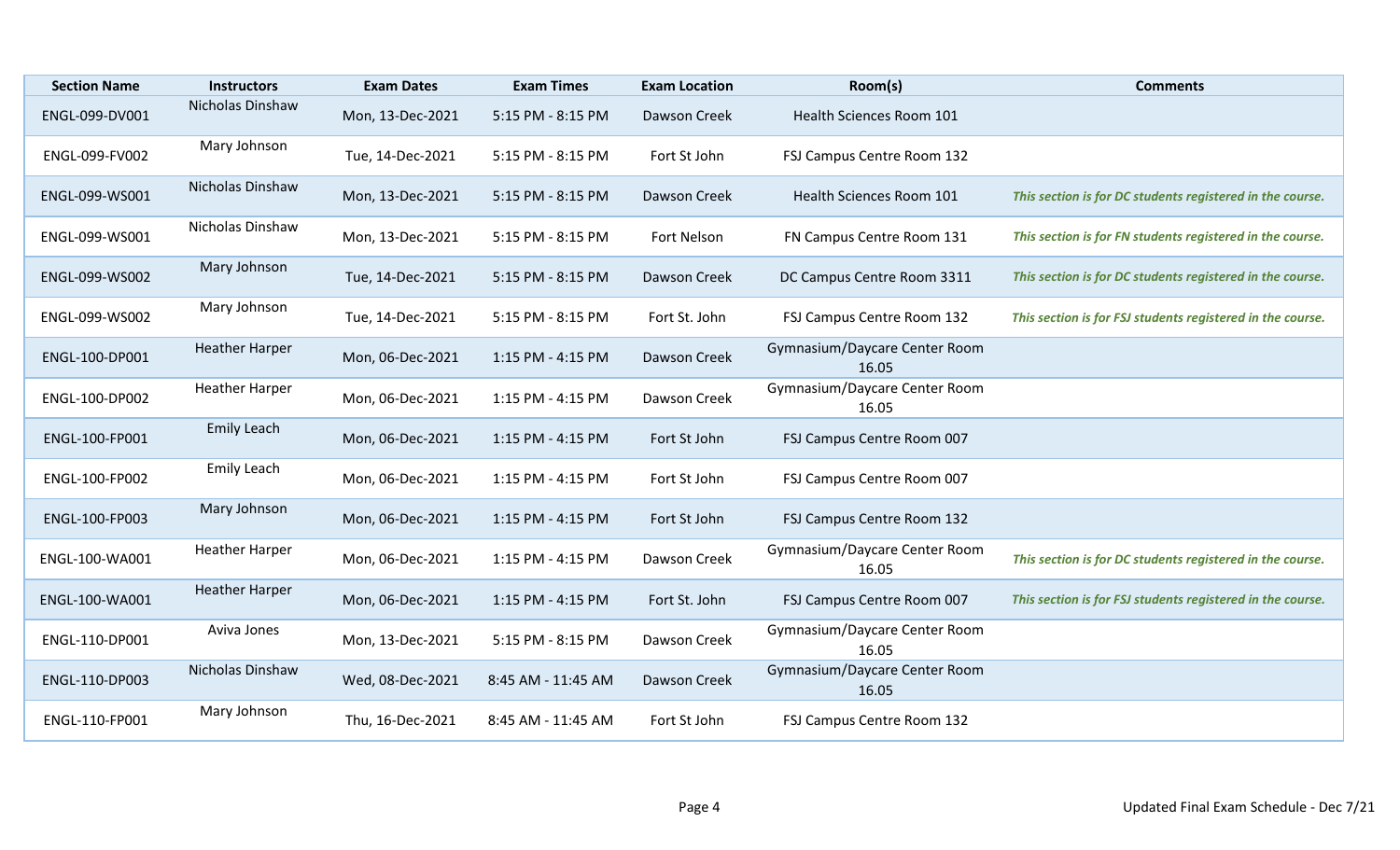| <b>Section Name</b> | <b>Instructors</b>    | <b>Exam Dates</b> | <b>Exam Times</b>  | <b>Exam Location</b> | Room(s)                                | <b>Comments</b>                                            |
|---------------------|-----------------------|-------------------|--------------------|----------------------|----------------------------------------|------------------------------------------------------------|
| ENGL-099-DV001      | Nicholas Dinshaw      | Mon, 13-Dec-2021  | 5:15 PM - 8:15 PM  | Dawson Creek         | Health Sciences Room 101               |                                                            |
| ENGL-099-FV002      | Mary Johnson          | Tue, 14-Dec-2021  | 5:15 PM - 8:15 PM  | Fort St John         | FSJ Campus Centre Room 132             |                                                            |
| ENGL-099-WS001      | Nicholas Dinshaw      | Mon, 13-Dec-2021  | 5:15 PM - 8:15 PM  | Dawson Creek         | Health Sciences Room 101               | This section is for DC students registered in the course.  |
| ENGL-099-WS001      | Nicholas Dinshaw      | Mon, 13-Dec-2021  | 5:15 PM - 8:15 PM  | Fort Nelson          | FN Campus Centre Room 131              | This section is for FN students registered in the course.  |
| ENGL-099-WS002      | Mary Johnson          | Tue, 14-Dec-2021  | 5:15 PM - 8:15 PM  | Dawson Creek         | DC Campus Centre Room 3311             | This section is for DC students registered in the course.  |
| ENGL-099-WS002      | Mary Johnson          | Tue, 14-Dec-2021  | 5:15 PM - 8:15 PM  | Fort St. John        | FSJ Campus Centre Room 132             | This section is for FSJ students registered in the course. |
| ENGL-100-DP001      | <b>Heather Harper</b> | Mon, 06-Dec-2021  | 1:15 PM - 4:15 PM  | Dawson Creek         | Gymnasium/Daycare Center Room<br>16.05 |                                                            |
| ENGL-100-DP002      | <b>Heather Harper</b> | Mon, 06-Dec-2021  | 1:15 PM - 4:15 PM  | Dawson Creek         | Gymnasium/Daycare Center Room<br>16.05 |                                                            |
| ENGL-100-FP001      | <b>Emily Leach</b>    | Mon, 06-Dec-2021  | 1:15 PM - 4:15 PM  | Fort St John         | FSJ Campus Centre Room 007             |                                                            |
| ENGL-100-FP002      | Emily Leach           | Mon, 06-Dec-2021  | 1:15 PM - 4:15 PM  | Fort St John         | FSJ Campus Centre Room 007             |                                                            |
| ENGL-100-FP003      | Mary Johnson          | Mon, 06-Dec-2021  | 1:15 PM - 4:15 PM  | Fort St John         | FSJ Campus Centre Room 132             |                                                            |
| ENGL-100-WA001      | <b>Heather Harper</b> | Mon, 06-Dec-2021  | 1:15 PM - 4:15 PM  | Dawson Creek         | Gymnasium/Daycare Center Room<br>16.05 | This section is for DC students registered in the course.  |
| ENGL-100-WA001      | <b>Heather Harper</b> | Mon, 06-Dec-2021  | 1:15 PM - 4:15 PM  | Fort St. John        | FSJ Campus Centre Room 007             | This section is for FSJ students registered in the course. |
| ENGL-110-DP001      | Aviva Jones           | Mon, 13-Dec-2021  | 5:15 PM - 8:15 PM  | Dawson Creek         | Gymnasium/Daycare Center Room<br>16.05 |                                                            |
| ENGL-110-DP003      | Nicholas Dinshaw      | Wed, 08-Dec-2021  | 8:45 AM - 11:45 AM | Dawson Creek         | Gymnasium/Daycare Center Room<br>16.05 |                                                            |
| ENGL-110-FP001      | Mary Johnson          | Thu, 16-Dec-2021  | 8:45 AM - 11:45 AM | Fort St John         | FSJ Campus Centre Room 132             |                                                            |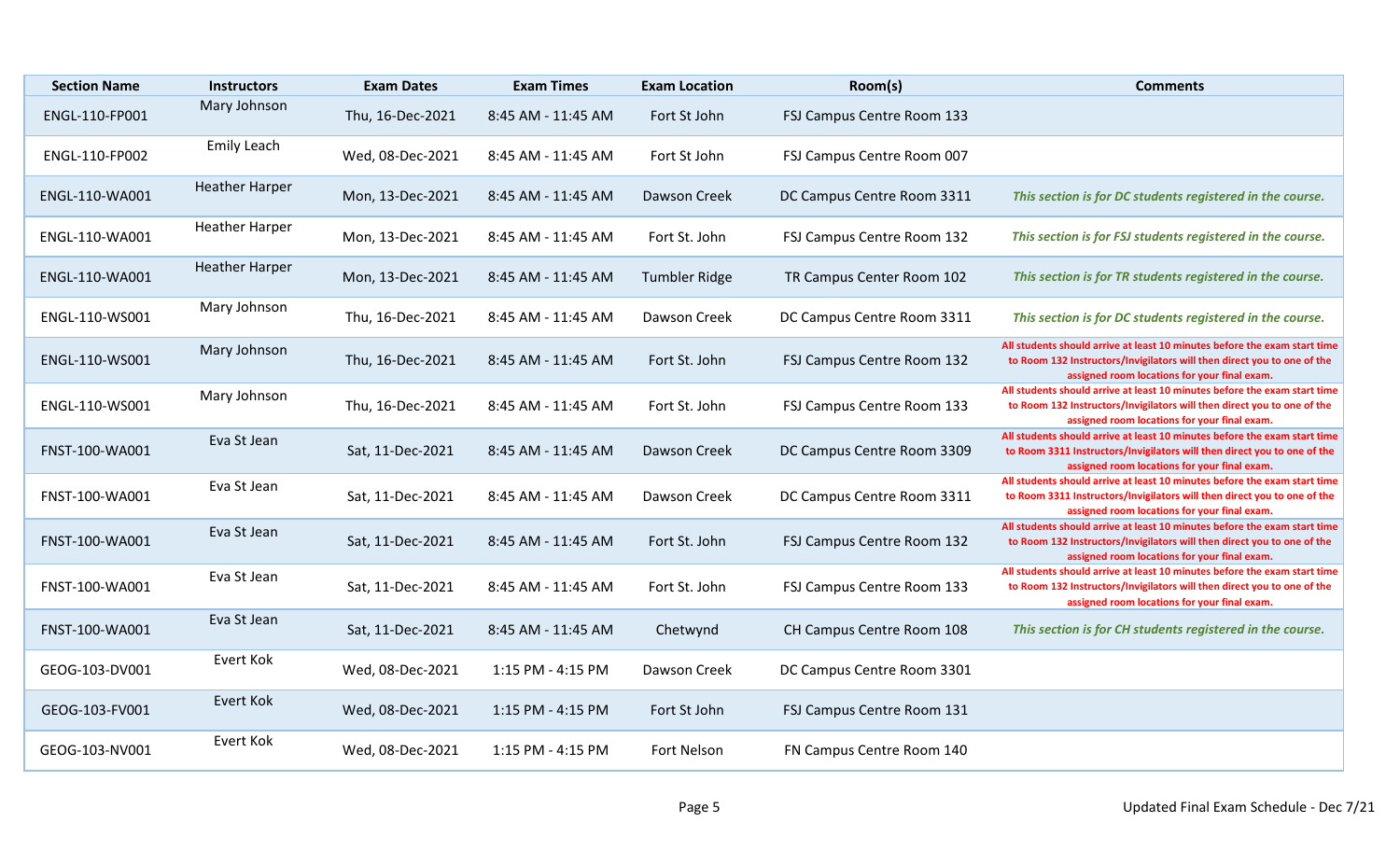| <b>Section Name</b> | <b>Instructors</b>    | <b>Exam Dates</b> | <b>Exam Times</b>  | <b>Exam Location</b> | Room(s)                    | <b>Comments</b>                                                                                                                                                                                       |
|---------------------|-----------------------|-------------------|--------------------|----------------------|----------------------------|-------------------------------------------------------------------------------------------------------------------------------------------------------------------------------------------------------|
| ENGL-110-FP001      | Mary Johnson          | Thu, 16-Dec-2021  | 8:45 AM - 11:45 AM | Fort St John         | FSJ Campus Centre Room 133 |                                                                                                                                                                                                       |
| ENGL-110-FP002      | <b>Emily Leach</b>    | Wed, 08-Dec-2021  | 8:45 AM - 11:45 AM | Fort St John         | FSJ Campus Centre Room 007 |                                                                                                                                                                                                       |
| ENGL-110-WA001      | <b>Heather Harper</b> | Mon, 13-Dec-2021  | 8:45 AM - 11:45 AM | <b>Dawson Creek</b>  | DC Campus Centre Room 3311 | This section is for DC students registered in the course.                                                                                                                                             |
| ENGL-110-WA001      | <b>Heather Harper</b> | Mon, 13-Dec-2021  | 8:45 AM - 11:45 AM | Fort St. John        | FSJ Campus Centre Room 132 | This section is for FSJ students registered in the course.                                                                                                                                            |
| ENGL-110-WA001      | <b>Heather Harper</b> | Mon, 13-Dec-2021  | 8:45 AM - 11:45 AM | <b>Tumbler Ridge</b> | TR Campus Center Room 102  | This section is for TR students registered in the course.                                                                                                                                             |
| ENGL-110-WS001      | Mary Johnson          | Thu, 16-Dec-2021  | 8:45 AM - 11:45 AM | Dawson Creek         | DC Campus Centre Room 3311 | This section is for DC students registered in the course.                                                                                                                                             |
| ENGL-110-WS001      | Mary Johnson          | Thu, 16-Dec-2021  | 8:45 AM - 11:45 AM | Fort St. John        | FSJ Campus Centre Room 132 | All students should arrive at least 10 minutes before the exam start time<br>to Room 132 Instructors/Invigilators will then direct you to one of the<br>assigned room locations for your final exam.  |
| ENGL-110-WS001      | Mary Johnson          | Thu, 16-Dec-2021  | 8:45 AM - 11:45 AM | Fort St. John        | FSJ Campus Centre Room 133 | All students should arrive at least 10 minutes before the exam start time<br>to Room 132 Instructors/Invigilators will then direct you to one of the<br>assigned room locations for your final exam.  |
| FNST-100-WA001      | Eva St Jean           | Sat, 11-Dec-2021  | 8:45 AM - 11:45 AM | Dawson Creek         | DC Campus Centre Room 3309 | All students should arrive at least 10 minutes before the exam start time<br>to Room 3311 Instructors/Invigilators will then direct you to one of the<br>assigned room locations for your final exam. |
| FNST-100-WA001      | Eva St Jean           | Sat, 11-Dec-2021  | 8:45 AM - 11:45 AM | Dawson Creek         | DC Campus Centre Room 3311 | All students should arrive at least 10 minutes before the exam start time<br>to Room 3311 Instructors/Invigilators will then direct you to one of the<br>assigned room locations for your final exam. |
| FNST-100-WA001      | Eva St Jean           | Sat, 11-Dec-2021  | 8:45 AM - 11:45 AM | Fort St. John        | FSJ Campus Centre Room 132 | All students should arrive at least 10 minutes before the exam start time<br>to Room 132 Instructors/Invigilators will then direct you to one of the<br>assigned room locations for your final exam.  |
| FNST-100-WA001      | Eva St Jean           | Sat, 11-Dec-2021  | 8:45 AM - 11:45 AM | Fort St. John        | FSJ Campus Centre Room 133 | All students should arrive at least 10 minutes before the exam start time<br>to Room 132 Instructors/Invigilators will then direct you to one of the<br>assigned room locations for your final exam.  |
| FNST-100-WA001      | Eva St Jean           | Sat, 11-Dec-2021  | 8:45 AM - 11:45 AM | Chetwynd             | CH Campus Centre Room 108  | This section is for CH students registered in the course.                                                                                                                                             |
| GEOG-103-DV001      | Evert Kok             | Wed, 08-Dec-2021  | 1:15 PM - 4:15 PM  | Dawson Creek         | DC Campus Centre Room 3301 |                                                                                                                                                                                                       |
| GEOG-103-FV001      | <b>Evert Kok</b>      | Wed, 08-Dec-2021  | 1:15 PM - 4:15 PM  | Fort St John         | FSJ Campus Centre Room 131 |                                                                                                                                                                                                       |
| GEOG-103-NV001      | Evert Kok             | Wed, 08-Dec-2021  | 1:15 PM - 4:15 PM  | Fort Nelson          | FN Campus Centre Room 140  |                                                                                                                                                                                                       |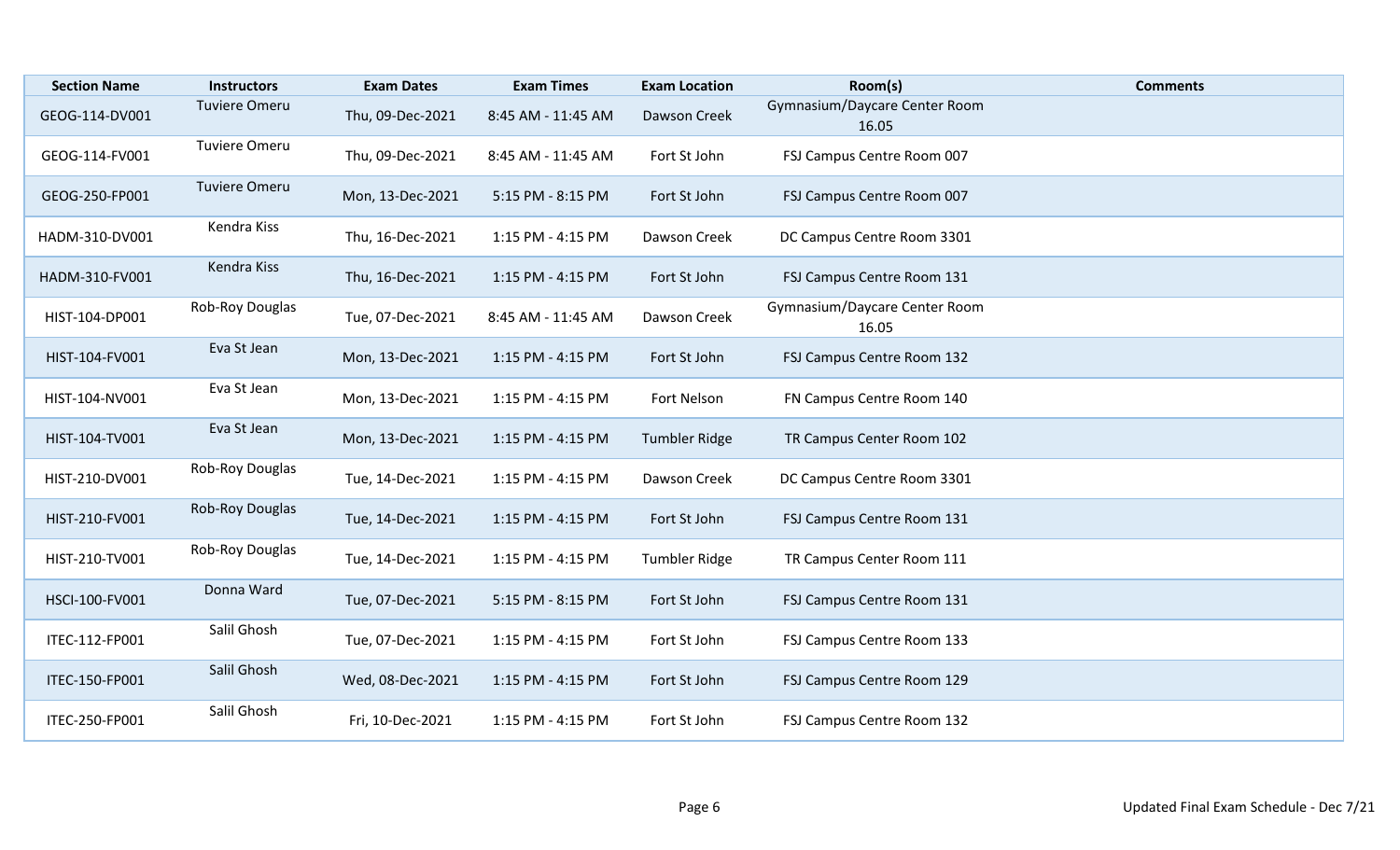| <b>Section Name</b> | <b>Instructors</b>   | <b>Exam Dates</b> | <b>Exam Times</b>  | <b>Exam Location</b> | Room(s)                                | <b>Comments</b> |
|---------------------|----------------------|-------------------|--------------------|----------------------|----------------------------------------|-----------------|
| GEOG-114-DV001      | <b>Tuviere Omeru</b> | Thu, 09-Dec-2021  | 8:45 AM - 11:45 AM | Dawson Creek         | Gymnasium/Daycare Center Room<br>16.05 |                 |
| GEOG-114-FV001      | <b>Tuviere Omeru</b> | Thu, 09-Dec-2021  | 8:45 AM - 11:45 AM | Fort St John         | FSJ Campus Centre Room 007             |                 |
| GEOG-250-FP001      | <b>Tuviere Omeru</b> | Mon, 13-Dec-2021  | 5:15 PM - 8:15 PM  | Fort St John         | FSJ Campus Centre Room 007             |                 |
| HADM-310-DV001      | Kendra Kiss          | Thu, 16-Dec-2021  | 1:15 PM - 4:15 PM  | Dawson Creek         | DC Campus Centre Room 3301             |                 |
| HADM-310-FV001      | Kendra Kiss          | Thu, 16-Dec-2021  | 1:15 PM - 4:15 PM  | Fort St John         | FSJ Campus Centre Room 131             |                 |
| HIST-104-DP001      | Rob-Roy Douglas      | Tue, 07-Dec-2021  | 8:45 AM - 11:45 AM | Dawson Creek         | Gymnasium/Daycare Center Room<br>16.05 |                 |
| HIST-104-FV001      | Eva St Jean          | Mon, 13-Dec-2021  | 1:15 PM - 4:15 PM  | Fort St John         | FSJ Campus Centre Room 132             |                 |
| HIST-104-NV001      | Eva St Jean          | Mon, 13-Dec-2021  | 1:15 PM - 4:15 PM  | Fort Nelson          | FN Campus Centre Room 140              |                 |
| HIST-104-TV001      | Eva St Jean          | Mon, 13-Dec-2021  | 1:15 PM - 4:15 PM  | <b>Tumbler Ridge</b> | TR Campus Center Room 102              |                 |
| HIST-210-DV001      | Rob-Roy Douglas      | Tue, 14-Dec-2021  | 1:15 PM - 4:15 PM  | Dawson Creek         | DC Campus Centre Room 3301             |                 |
| HIST-210-FV001      | Rob-Roy Douglas      | Tue, 14-Dec-2021  | 1:15 PM - 4:15 PM  | Fort St John         | FSJ Campus Centre Room 131             |                 |
| HIST-210-TV001      | Rob-Roy Douglas      | Tue, 14-Dec-2021  | 1:15 PM - 4:15 PM  | <b>Tumbler Ridge</b> | TR Campus Center Room 111              |                 |
| HSCI-100-FV001      | Donna Ward           | Tue, 07-Dec-2021  | 5:15 PM - 8:15 PM  | Fort St John         | FSJ Campus Centre Room 131             |                 |
| ITEC-112-FP001      | Salil Ghosh          | Tue, 07-Dec-2021  | 1:15 PM - 4:15 PM  | Fort St John         | FSJ Campus Centre Room 133             |                 |
| ITEC-150-FP001      | Salil Ghosh          | Wed, 08-Dec-2021  | 1:15 PM - 4:15 PM  | Fort St John         | FSJ Campus Centre Room 129             |                 |
| ITEC-250-FP001      | Salil Ghosh          | Fri, 10-Dec-2021  | 1:15 PM - 4:15 PM  | Fort St John         | FSJ Campus Centre Room 132             |                 |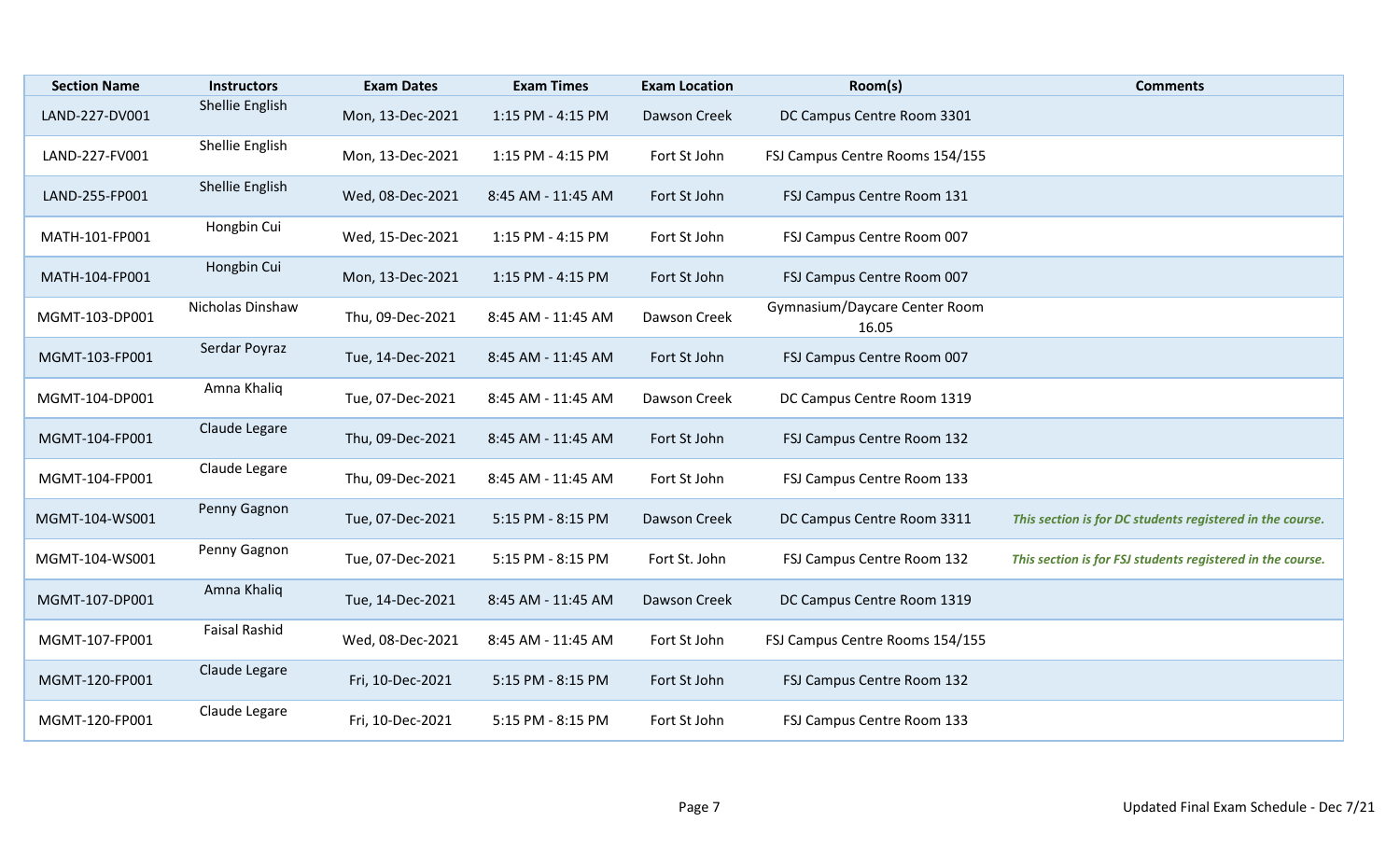| <b>Section Name</b> | <b>Instructors</b>   | <b>Exam Dates</b> | <b>Exam Times</b>  | <b>Exam Location</b> | Room(s)                                | <b>Comments</b>                                            |
|---------------------|----------------------|-------------------|--------------------|----------------------|----------------------------------------|------------------------------------------------------------|
| LAND-227-DV001      | Shellie English      | Mon, 13-Dec-2021  | 1:15 PM - 4:15 PM  | Dawson Creek         | DC Campus Centre Room 3301             |                                                            |
| LAND-227-FV001      | Shellie English      | Mon, 13-Dec-2021  | 1:15 PM - 4:15 PM  | Fort St John         | FSJ Campus Centre Rooms 154/155        |                                                            |
| LAND-255-FP001      | Shellie English      | Wed, 08-Dec-2021  | 8:45 AM - 11:45 AM | Fort St John         | FSJ Campus Centre Room 131             |                                                            |
| MATH-101-FP001      | Hongbin Cui          | Wed, 15-Dec-2021  | 1:15 PM - 4:15 PM  | Fort St John         | FSJ Campus Centre Room 007             |                                                            |
| MATH-104-FP001      | Hongbin Cui          | Mon, 13-Dec-2021  | 1:15 PM - 4:15 PM  | Fort St John         | FSJ Campus Centre Room 007             |                                                            |
| MGMT-103-DP001      | Nicholas Dinshaw     | Thu, 09-Dec-2021  | 8:45 AM - 11:45 AM | Dawson Creek         | Gymnasium/Daycare Center Room<br>16.05 |                                                            |
| MGMT-103-FP001      | Serdar Poyraz        | Tue, 14-Dec-2021  | 8:45 AM - 11:45 AM | Fort St John         | FSJ Campus Centre Room 007             |                                                            |
| MGMT-104-DP001      | Amna Khaliq          | Tue, 07-Dec-2021  | 8:45 AM - 11:45 AM | Dawson Creek         | DC Campus Centre Room 1319             |                                                            |
| MGMT-104-FP001      | Claude Legare        | Thu, 09-Dec-2021  | 8:45 AM - 11:45 AM | Fort St John         | FSJ Campus Centre Room 132             |                                                            |
| MGMT-104-FP001      | Claude Legare        | Thu, 09-Dec-2021  | 8:45 AM - 11:45 AM | Fort St John         | FSJ Campus Centre Room 133             |                                                            |
| MGMT-104-WS001      | Penny Gagnon         | Tue, 07-Dec-2021  | 5:15 PM - 8:15 PM  | Dawson Creek         | DC Campus Centre Room 3311             | This section is for DC students registered in the course.  |
| MGMT-104-WS001      | Penny Gagnon         | Tue, 07-Dec-2021  | 5:15 PM - 8:15 PM  | Fort St. John        | FSJ Campus Centre Room 132             | This section is for FSJ students registered in the course. |
| MGMT-107-DP001      | Amna Khaliq          | Tue, 14-Dec-2021  | 8:45 AM - 11:45 AM | Dawson Creek         | DC Campus Centre Room 1319             |                                                            |
| MGMT-107-FP001      | <b>Faisal Rashid</b> | Wed, 08-Dec-2021  | 8:45 AM - 11:45 AM | Fort St John         | FSJ Campus Centre Rooms 154/155        |                                                            |
| MGMT-120-FP001      | Claude Legare        | Fri, 10-Dec-2021  | 5:15 PM - 8:15 PM  | Fort St John         | FSJ Campus Centre Room 132             |                                                            |
| MGMT-120-FP001      | Claude Legare        | Fri, 10-Dec-2021  | 5:15 PM - 8:15 PM  | Fort St John         | FSJ Campus Centre Room 133             |                                                            |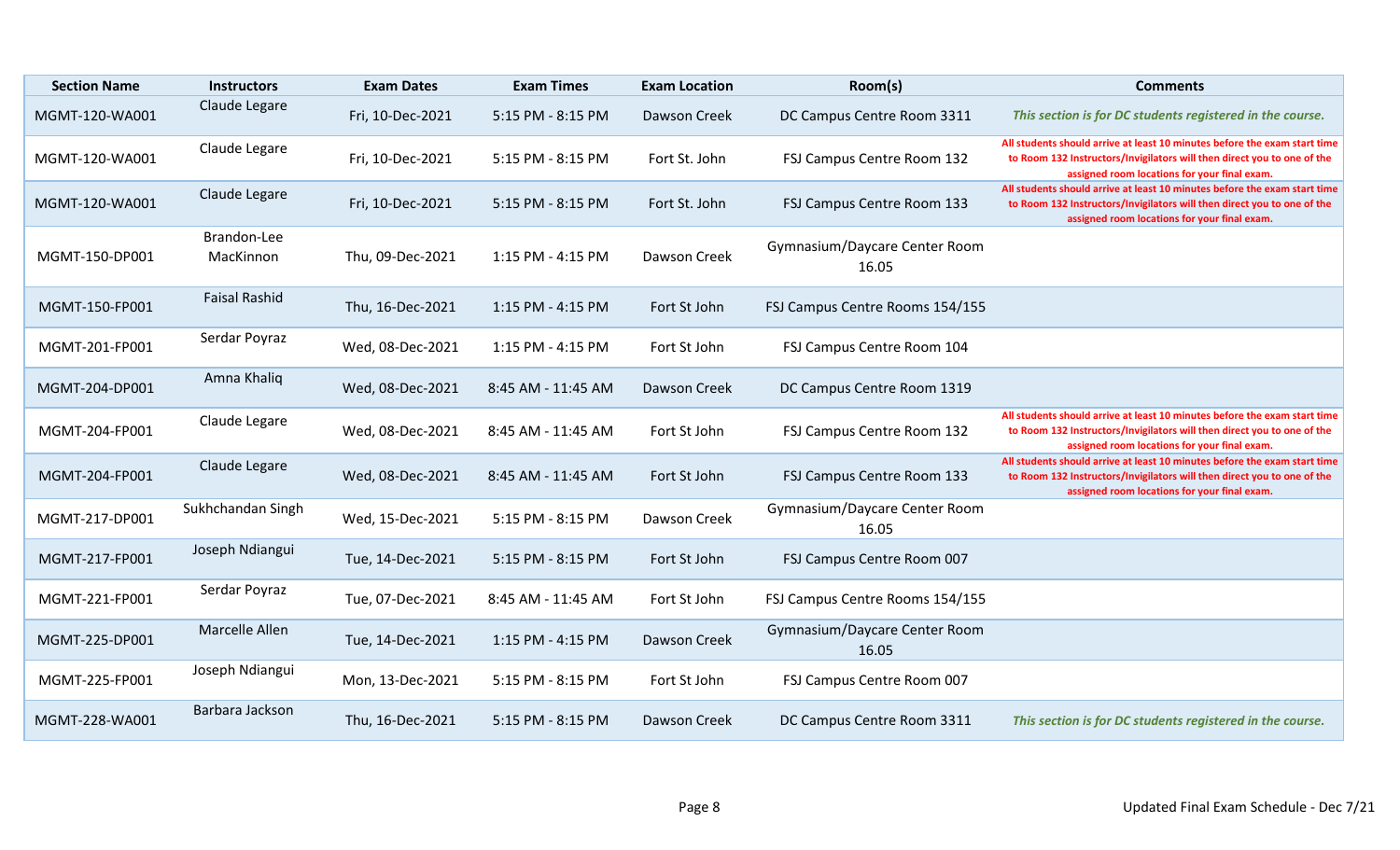| <b>Section Name</b> | <b>Instructors</b>       | <b>Exam Dates</b> | <b>Exam Times</b>  | <b>Exam Location</b> | Room(s)                                | <b>Comments</b>                                                                                                                                                                                      |
|---------------------|--------------------------|-------------------|--------------------|----------------------|----------------------------------------|------------------------------------------------------------------------------------------------------------------------------------------------------------------------------------------------------|
| MGMT-120-WA001      | Claude Legare            | Fri, 10-Dec-2021  | 5:15 PM - 8:15 PM  | Dawson Creek         | DC Campus Centre Room 3311             | This section is for DC students registered in the course.                                                                                                                                            |
| MGMT-120-WA001      | Claude Legare            | Fri, 10-Dec-2021  | 5:15 PM - 8:15 PM  | Fort St. John        | FSJ Campus Centre Room 132             | All students should arrive at least 10 minutes before the exam start time<br>to Room 132 Instructors/Invigilators will then direct you to one of the<br>assigned room locations for your final exam. |
| MGMT-120-WA001      | Claude Legare            | Fri, 10-Dec-2021  | 5:15 PM - 8:15 PM  | Fort St. John        | FSJ Campus Centre Room 133             | All students should arrive at least 10 minutes before the exam start time<br>to Room 132 Instructors/Invigilators will then direct you to one of the<br>assigned room locations for your final exam. |
| MGMT-150-DP001      | Brandon-Lee<br>MacKinnon | Thu, 09-Dec-2021  | 1:15 PM - 4:15 PM  | Dawson Creek         | Gymnasium/Daycare Center Room<br>16.05 |                                                                                                                                                                                                      |
| MGMT-150-FP001      | <b>Faisal Rashid</b>     | Thu, 16-Dec-2021  | 1:15 PM - 4:15 PM  | Fort St John         | FSJ Campus Centre Rooms 154/155        |                                                                                                                                                                                                      |
| MGMT-201-FP001      | Serdar Poyraz            | Wed, 08-Dec-2021  | 1:15 PM - 4:15 PM  | Fort St John         | FSJ Campus Centre Room 104             |                                                                                                                                                                                                      |
| MGMT-204-DP001      | Amna Khaliq              | Wed, 08-Dec-2021  | 8:45 AM - 11:45 AM | Dawson Creek         | DC Campus Centre Room 1319             |                                                                                                                                                                                                      |
| MGMT-204-FP001      | Claude Legare            | Wed, 08-Dec-2021  | 8:45 AM - 11:45 AM | Fort St John         | FSJ Campus Centre Room 132             | All students should arrive at least 10 minutes before the exam start time<br>to Room 132 Instructors/Invigilators will then direct you to one of the<br>assigned room locations for your final exam. |
| MGMT-204-FP001      | Claude Legare            | Wed, 08-Dec-2021  | 8:45 AM - 11:45 AM | Fort St John         | FSJ Campus Centre Room 133             | All students should arrive at least 10 minutes before the exam start time<br>to Room 132 Instructors/Invigilators will then direct you to one of the<br>assigned room locations for your final exam. |
| MGMT-217-DP001      | Sukhchandan Singh        | Wed, 15-Dec-2021  | 5:15 PM - 8:15 PM  | Dawson Creek         | Gymnasium/Daycare Center Room<br>16.05 |                                                                                                                                                                                                      |
| MGMT-217-FP001      | Joseph Ndiangui          | Tue, 14-Dec-2021  | 5:15 PM - 8:15 PM  | Fort St John         | FSJ Campus Centre Room 007             |                                                                                                                                                                                                      |
| MGMT-221-FP001      | Serdar Poyraz            | Tue, 07-Dec-2021  | 8:45 AM - 11:45 AM | Fort St John         | FSJ Campus Centre Rooms 154/155        |                                                                                                                                                                                                      |
| MGMT-225-DP001      | Marcelle Allen           | Tue, 14-Dec-2021  | 1:15 PM - 4:15 PM  | <b>Dawson Creek</b>  | Gymnasium/Daycare Center Room<br>16.05 |                                                                                                                                                                                                      |
| MGMT-225-FP001      | Joseph Ndiangui          | Mon, 13-Dec-2021  | 5:15 PM - 8:15 PM  | Fort St John         | FSJ Campus Centre Room 007             |                                                                                                                                                                                                      |
| MGMT-228-WA001      | Barbara Jackson          | Thu, 16-Dec-2021  | 5:15 PM - 8:15 PM  | Dawson Creek         | DC Campus Centre Room 3311             | This section is for DC students registered in the course.                                                                                                                                            |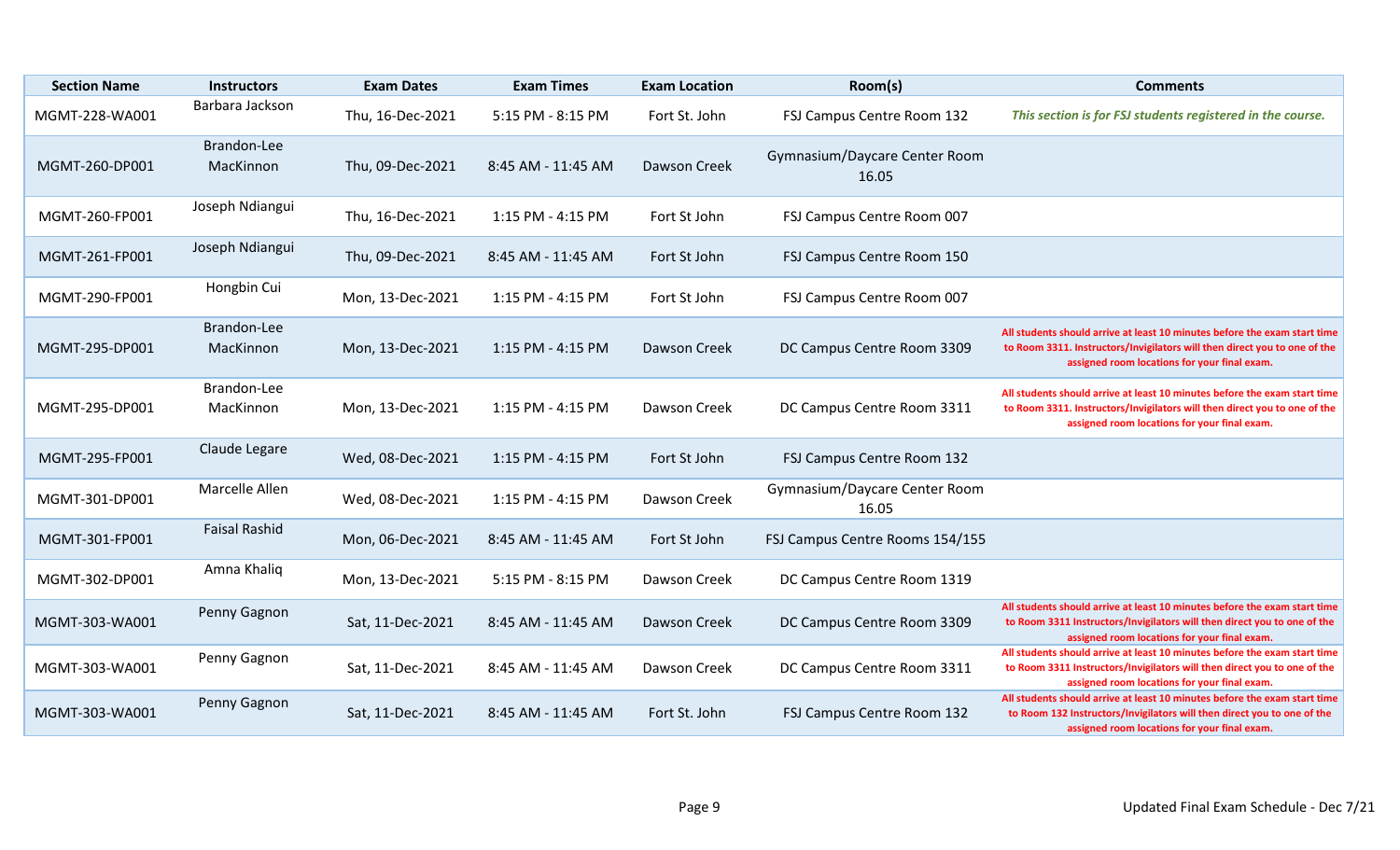| <b>Section Name</b> | <b>Instructors</b>       | <b>Exam Dates</b> | <b>Exam Times</b>  | <b>Exam Location</b> | Room(s)                                | <b>Comments</b>                                                                                                                                                                                        |
|---------------------|--------------------------|-------------------|--------------------|----------------------|----------------------------------------|--------------------------------------------------------------------------------------------------------------------------------------------------------------------------------------------------------|
| MGMT-228-WA001      | Barbara Jackson          | Thu, 16-Dec-2021  | 5:15 PM - 8:15 PM  | Fort St. John        | FSJ Campus Centre Room 132             | This section is for FSJ students registered in the course.                                                                                                                                             |
| MGMT-260-DP001      | Brandon-Lee<br>MacKinnon | Thu, 09-Dec-2021  | 8:45 AM - 11:45 AM | Dawson Creek         | Gymnasium/Daycare Center Room<br>16.05 |                                                                                                                                                                                                        |
| MGMT-260-FP001      | Joseph Ndiangui          | Thu, 16-Dec-2021  | 1:15 PM - 4:15 PM  | Fort St John         | FSJ Campus Centre Room 007             |                                                                                                                                                                                                        |
| MGMT-261-FP001      | Joseph Ndiangui          | Thu, 09-Dec-2021  | 8:45 AM - 11:45 AM | Fort St John         | FSJ Campus Centre Room 150             |                                                                                                                                                                                                        |
| MGMT-290-FP001      | Hongbin Cui              | Mon, 13-Dec-2021  | 1:15 PM - 4:15 PM  | Fort St John         | FSJ Campus Centre Room 007             |                                                                                                                                                                                                        |
| MGMT-295-DP001      | Brandon-Lee<br>MacKinnon | Mon, 13-Dec-2021  | 1:15 PM - 4:15 PM  | Dawson Creek         | DC Campus Centre Room 3309             | All students should arrive at least 10 minutes before the exam start time<br>to Room 3311. Instructors/Invigilators will then direct you to one of the<br>assigned room locations for your final exam. |
| MGMT-295-DP001      | Brandon-Lee<br>MacKinnon | Mon, 13-Dec-2021  | 1:15 PM - 4:15 PM  | Dawson Creek         | DC Campus Centre Room 3311             | All students should arrive at least 10 minutes before the exam start time<br>to Room 3311. Instructors/Invigilators will then direct you to one of the<br>assigned room locations for your final exam. |
| MGMT-295-FP001      | Claude Legare            | Wed, 08-Dec-2021  | 1:15 PM - 4:15 PM  | Fort St John         | FSJ Campus Centre Room 132             |                                                                                                                                                                                                        |
| MGMT-301-DP001      | Marcelle Allen           | Wed, 08-Dec-2021  | 1:15 PM - 4:15 PM  | Dawson Creek         | Gymnasium/Daycare Center Room<br>16.05 |                                                                                                                                                                                                        |
| MGMT-301-FP001      | <b>Faisal Rashid</b>     | Mon, 06-Dec-2021  | 8:45 AM - 11:45 AM | Fort St John         | FSJ Campus Centre Rooms 154/155        |                                                                                                                                                                                                        |
| MGMT-302-DP001      | Amna Khaliq              | Mon, 13-Dec-2021  | 5:15 PM - 8:15 PM  | Dawson Creek         | DC Campus Centre Room 1319             |                                                                                                                                                                                                        |
| MGMT-303-WA001      | Penny Gagnon             | Sat, 11-Dec-2021  | 8:45 AM - 11:45 AM | Dawson Creek         | DC Campus Centre Room 3309             | All students should arrive at least 10 minutes before the exam start time<br>to Room 3311 Instructors/Invigilators will then direct you to one of the<br>assigned room locations for your final exam.  |
| MGMT-303-WA001      | Penny Gagnon             | Sat, 11-Dec-2021  | 8:45 AM - 11:45 AM | Dawson Creek         | DC Campus Centre Room 3311             | All students should arrive at least 10 minutes before the exam start time<br>to Room 3311 Instructors/Invigilators will then direct you to one of the<br>assigned room locations for your final exam.  |
| MGMT-303-WA001      | Penny Gagnon             | Sat, 11-Dec-2021  | 8:45 AM - 11:45 AM | Fort St. John        | FSJ Campus Centre Room 132             | All students should arrive at least 10 minutes before the exam start time<br>to Room 132 Instructors/Invigilators will then direct you to one of the<br>assigned room locations for your final exam.   |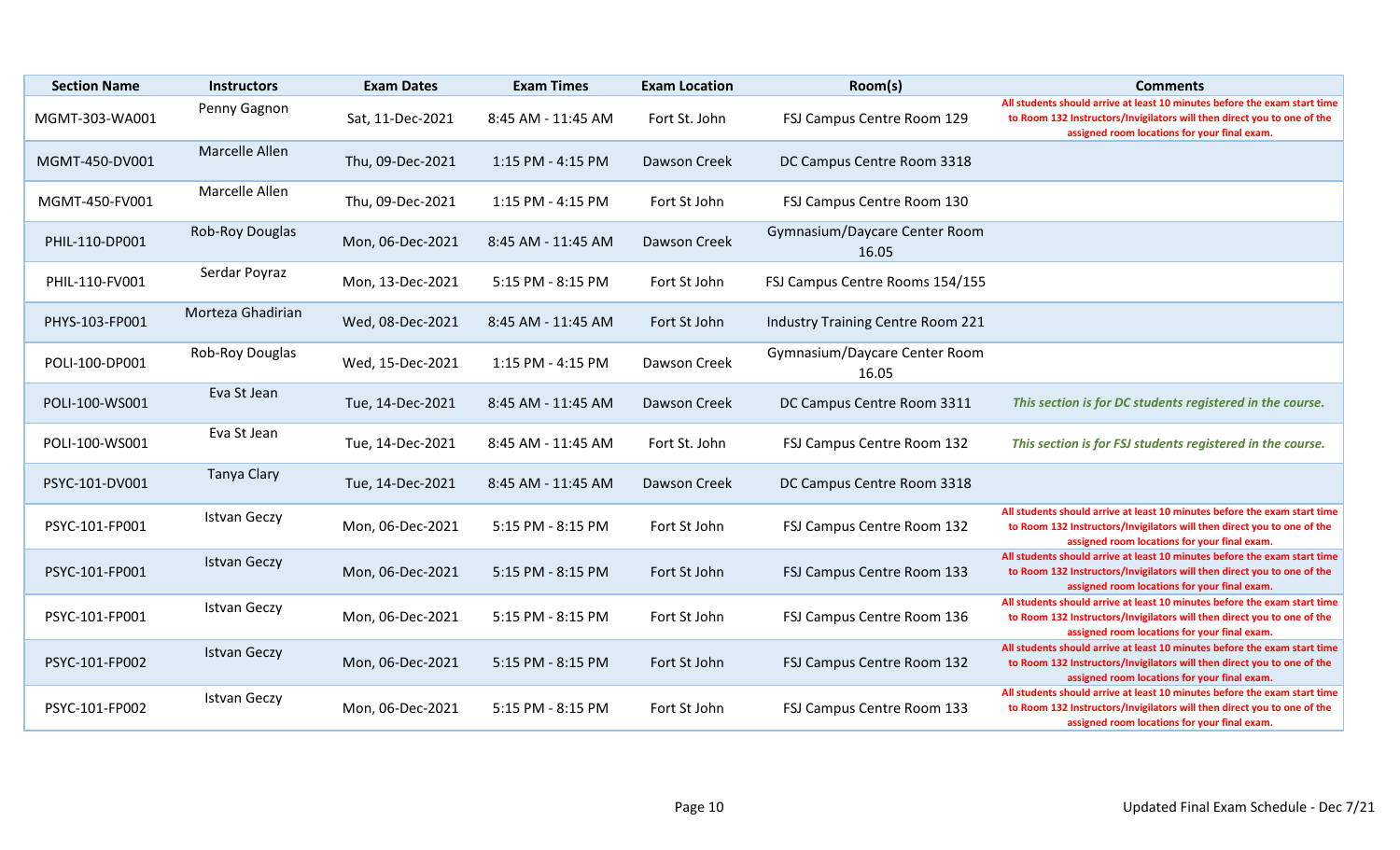| <b>Section Name</b> | <b>Instructors</b>  | <b>Exam Dates</b> | <b>Exam Times</b>  | <b>Exam Location</b> | Room(s)                                | <b>Comments</b>                                                                                                                                                                                      |
|---------------------|---------------------|-------------------|--------------------|----------------------|----------------------------------------|------------------------------------------------------------------------------------------------------------------------------------------------------------------------------------------------------|
| MGMT-303-WA001      | Penny Gagnon        | Sat, 11-Dec-2021  | 8:45 AM - 11:45 AM | Fort St. John        | FSJ Campus Centre Room 129             | All students should arrive at least 10 minutes before the exam start time<br>to Room 132 Instructors/Invigilators will then direct you to one of the<br>assigned room locations for your final exam. |
| MGMT-450-DV001      | Marcelle Allen      | Thu, 09-Dec-2021  | 1:15 PM - 4:15 PM  | Dawson Creek         | DC Campus Centre Room 3318             |                                                                                                                                                                                                      |
| MGMT-450-FV001      | Marcelle Allen      | Thu, 09-Dec-2021  | 1:15 PM - 4:15 PM  | Fort St John         | FSJ Campus Centre Room 130             |                                                                                                                                                                                                      |
| PHIL-110-DP001      | Rob-Roy Douglas     | Mon, 06-Dec-2021  | 8:45 AM - 11:45 AM | Dawson Creek         | Gymnasium/Daycare Center Room<br>16.05 |                                                                                                                                                                                                      |
| PHIL-110-FV001      | Serdar Poyraz       | Mon, 13-Dec-2021  | 5:15 PM - 8:15 PM  | Fort St John         | FSJ Campus Centre Rooms 154/155        |                                                                                                                                                                                                      |
| PHYS-103-FP001      | Morteza Ghadirian   | Wed, 08-Dec-2021  | 8:45 AM - 11:45 AM | Fort St John         | Industry Training Centre Room 221      |                                                                                                                                                                                                      |
| POLI-100-DP001      | Rob-Roy Douglas     | Wed, 15-Dec-2021  | 1:15 PM - 4:15 PM  | Dawson Creek         | Gymnasium/Daycare Center Room<br>16.05 |                                                                                                                                                                                                      |
| POLI-100-WS001      | Eva St Jean         | Tue, 14-Dec-2021  | 8:45 AM - 11:45 AM | Dawson Creek         | DC Campus Centre Room 3311             | This section is for DC students registered in the course.                                                                                                                                            |
| POLI-100-WS001      | Eva St Jean         | Tue, 14-Dec-2021  | 8:45 AM - 11:45 AM | Fort St. John        | FSJ Campus Centre Room 132             | This section is for FSJ students registered in the course.                                                                                                                                           |
| PSYC-101-DV001      | Tanya Clary         | Tue, 14-Dec-2021  | 8:45 AM - 11:45 AM | Dawson Creek         | DC Campus Centre Room 3318             |                                                                                                                                                                                                      |
| PSYC-101-FP001      | <b>Istvan Geczy</b> | Mon, 06-Dec-2021  | 5:15 PM - 8:15 PM  | Fort St John         | FSJ Campus Centre Room 132             | All students should arrive at least 10 minutes before the exam start time<br>to Room 132 Instructors/Invigilators will then direct you to one of the<br>assigned room locations for your final exam. |
| PSYC-101-FP001      | <b>Istvan Geczy</b> | Mon, 06-Dec-2021  | 5:15 PM - 8:15 PM  | Fort St John         | FSJ Campus Centre Room 133             | All students should arrive at least 10 minutes before the exam start time<br>to Room 132 Instructors/Invigilators will then direct you to one of the<br>assigned room locations for your final exam. |
| PSYC-101-FP001      | <b>Istvan Geczy</b> | Mon, 06-Dec-2021  | 5:15 PM - 8:15 PM  | Fort St John         | FSJ Campus Centre Room 136             | All students should arrive at least 10 minutes before the exam start time<br>to Room 132 Instructors/Invigilators will then direct you to one of the<br>assigned room locations for your final exam. |
| PSYC-101-FP002      | <b>Istvan Geczy</b> | Mon, 06-Dec-2021  | 5:15 PM - 8:15 PM  | Fort St John         | FSJ Campus Centre Room 132             | All students should arrive at least 10 minutes before the exam start time<br>to Room 132 Instructors/Invigilators will then direct you to one of the<br>assigned room locations for your final exam. |
| PSYC-101-FP002      | <b>Istvan Geczy</b> | Mon, 06-Dec-2021  | 5:15 PM - 8:15 PM  | Fort St John         | FSJ Campus Centre Room 133             | All students should arrive at least 10 minutes before the exam start time<br>to Room 132 Instructors/Invigilators will then direct you to one of the<br>assigned room locations for your final exam. |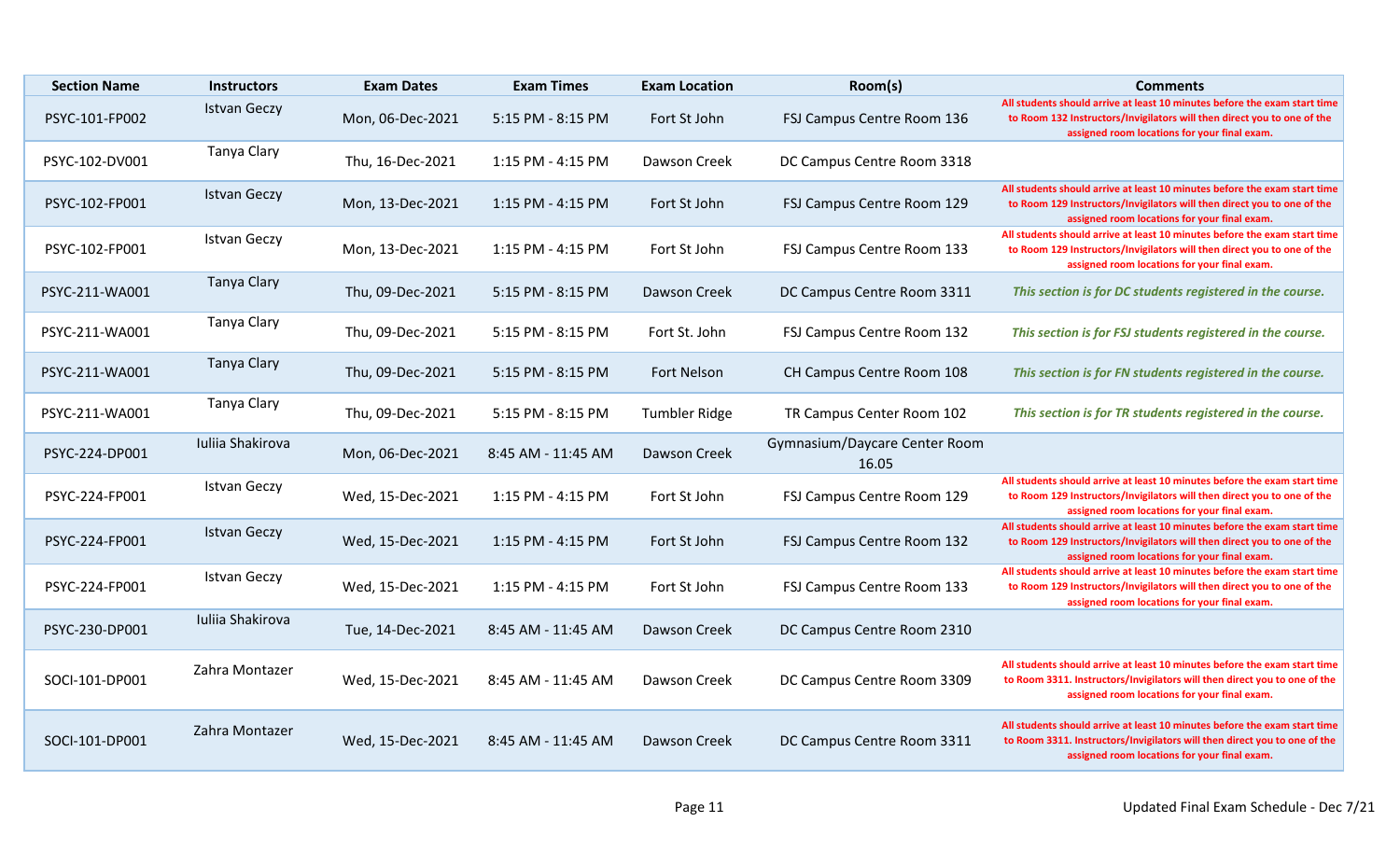| <b>Section Name</b> | <b>Instructors</b>  | <b>Exam Dates</b> | <b>Exam Times</b>     | <b>Exam Location</b> | Room(s)                                | <b>Comments</b>                                                                                                                                                                                        |
|---------------------|---------------------|-------------------|-----------------------|----------------------|----------------------------------------|--------------------------------------------------------------------------------------------------------------------------------------------------------------------------------------------------------|
| PSYC-101-FP002      | <b>Istvan Geczy</b> | Mon, 06-Dec-2021  | 5:15 PM - 8:15 PM     | Fort St John         | FSJ Campus Centre Room 136             | All students should arrive at least 10 minutes before the exam start time<br>to Room 132 Instructors/Invigilators will then direct you to one of the<br>assigned room locations for your final exam.   |
| PSYC-102-DV001      | <b>Tanya Clary</b>  | Thu, 16-Dec-2021  | 1:15 PM - 4:15 PM     | Dawson Creek         | DC Campus Centre Room 3318             |                                                                                                                                                                                                        |
| PSYC-102-FP001      | <b>Istvan Geczy</b> | Mon, 13-Dec-2021  | $1:15$ PM - $4:15$ PM | Fort St John         | FSJ Campus Centre Room 129             | All students should arrive at least 10 minutes before the exam start time<br>to Room 129 Instructors/Invigilators will then direct you to one of the<br>assigned room locations for your final exam.   |
| PSYC-102-FP001      | <b>Istvan Geczy</b> | Mon, 13-Dec-2021  | 1:15 PM - 4:15 PM     | Fort St John         | FSJ Campus Centre Room 133             | All students should arrive at least 10 minutes before the exam start time<br>to Room 129 Instructors/Invigilators will then direct you to one of the<br>assigned room locations for your final exam.   |
| PSYC-211-WA001      | <b>Tanya Clary</b>  | Thu, 09-Dec-2021  | 5:15 PM - 8:15 PM     | Dawson Creek         | DC Campus Centre Room 3311             | This section is for DC students registered in the course.                                                                                                                                              |
| PSYC-211-WA001      | Tanya Clary         | Thu, 09-Dec-2021  | 5:15 PM - 8:15 PM     | Fort St. John        | FSJ Campus Centre Room 132             | This section is for FSJ students registered in the course.                                                                                                                                             |
| PSYC-211-WA001      | <b>Tanya Clary</b>  | Thu, 09-Dec-2021  | 5:15 PM - 8:15 PM     | Fort Nelson          | CH Campus Centre Room 108              | This section is for FN students registered in the course.                                                                                                                                              |
| PSYC-211-WA001      | <b>Tanya Clary</b>  | Thu, 09-Dec-2021  | 5:15 PM - 8:15 PM     | <b>Tumbler Ridge</b> | TR Campus Center Room 102              | This section is for TR students registered in the course.                                                                                                                                              |
| PSYC-224-DP001      | Iuliia Shakirova    | Mon, 06-Dec-2021  | 8:45 AM - 11:45 AM    | Dawson Creek         | Gymnasium/Daycare Center Room<br>16.05 |                                                                                                                                                                                                        |
| PSYC-224-FP001      | <b>Istvan Geczy</b> | Wed, 15-Dec-2021  | 1:15 PM - 4:15 PM     | Fort St John         | FSJ Campus Centre Room 129             | All students should arrive at least 10 minutes before the exam start time<br>to Room 129 Instructors/Invigilators will then direct you to one of the<br>assigned room locations for your final exam.   |
| PSYC-224-FP001      | <b>Istvan Geczy</b> | Wed, 15-Dec-2021  | 1:15 PM - 4:15 PM     | Fort St John         | FSJ Campus Centre Room 132             | All students should arrive at least 10 minutes before the exam start time<br>to Room 129 Instructors/Invigilators will then direct you to one of the<br>assigned room locations for your final exam.   |
| PSYC-224-FP001      | <b>Istvan Geczy</b> | Wed, 15-Dec-2021  | 1:15 PM - 4:15 PM     | Fort St John         | FSJ Campus Centre Room 133             | All students should arrive at least 10 minutes before the exam start time<br>to Room 129 Instructors/Invigilators will then direct you to one of the<br>assigned room locations for your final exam.   |
| PSYC-230-DP001      | Iuliia Shakirova    | Tue, 14-Dec-2021  | 8:45 AM - 11:45 AM    | Dawson Creek         | DC Campus Centre Room 2310             |                                                                                                                                                                                                        |
| SOCI-101-DP001      | Zahra Montazer      | Wed, 15-Dec-2021  | 8:45 AM - 11:45 AM    | Dawson Creek         | DC Campus Centre Room 3309             | All students should arrive at least 10 minutes before the exam start time<br>to Room 3311. Instructors/Invigilators will then direct you to one of the<br>assigned room locations for your final exam. |
| SOCI-101-DP001      | Zahra Montazer      | Wed, 15-Dec-2021  | 8:45 AM - 11:45 AM    | Dawson Creek         | DC Campus Centre Room 3311             | All students should arrive at least 10 minutes before the exam start time<br>to Room 3311. Instructors/Invigilators will then direct you to one of the<br>assigned room locations for your final exam. |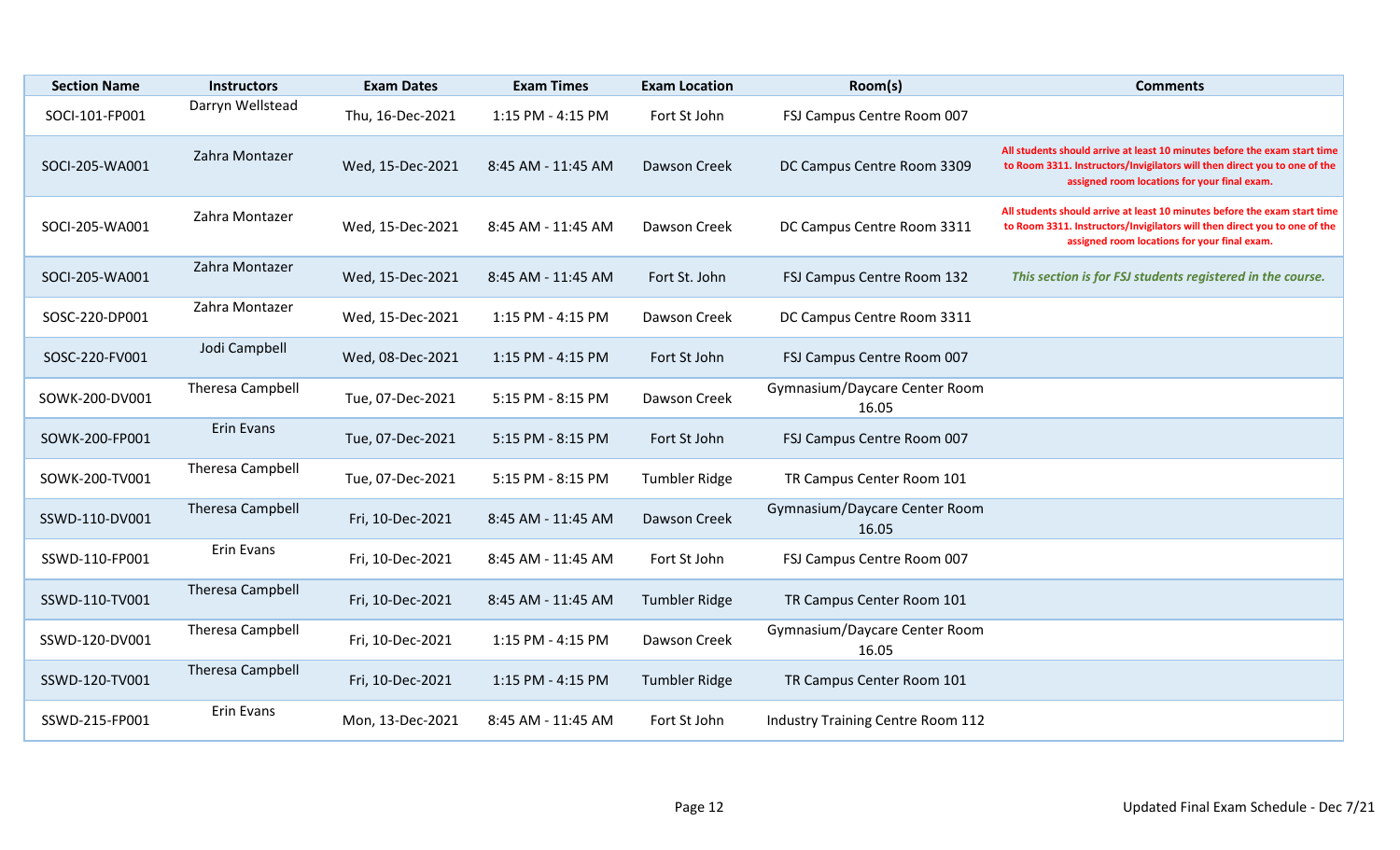| <b>Section Name</b> | <b>Instructors</b>      | <b>Exam Dates</b> | <b>Exam Times</b>  | <b>Exam Location</b> | Room(s)                                  | <b>Comments</b>                                                                                                                                                                                        |
|---------------------|-------------------------|-------------------|--------------------|----------------------|------------------------------------------|--------------------------------------------------------------------------------------------------------------------------------------------------------------------------------------------------------|
| SOCI-101-FP001      | Darryn Wellstead        | Thu, 16-Dec-2021  | 1:15 PM - 4:15 PM  | Fort St John         | FSJ Campus Centre Room 007               |                                                                                                                                                                                                        |
| SOCI-205-WA001      | Zahra Montazer          | Wed, 15-Dec-2021  | 8:45 AM - 11:45 AM | Dawson Creek         | DC Campus Centre Room 3309               | All students should arrive at least 10 minutes before the exam start time<br>to Room 3311. Instructors/Invigilators will then direct you to one of the<br>assigned room locations for your final exam. |
| SOCI-205-WA001      | Zahra Montazer          | Wed, 15-Dec-2021  | 8:45 AM - 11:45 AM | Dawson Creek         | DC Campus Centre Room 3311               | All students should arrive at least 10 minutes before the exam start time<br>to Room 3311. Instructors/Invigilators will then direct you to one of the<br>assigned room locations for your final exam. |
| SOCI-205-WA001      | Zahra Montazer          | Wed, 15-Dec-2021  | 8:45 AM - 11:45 AM | Fort St. John        | FSJ Campus Centre Room 132               | This section is for FSJ students registered in the course.                                                                                                                                             |
| SOSC-220-DP001      | Zahra Montazer          | Wed, 15-Dec-2021  | 1:15 PM - 4:15 PM  | Dawson Creek         | DC Campus Centre Room 3311               |                                                                                                                                                                                                        |
| SOSC-220-FV001      | Jodi Campbell           | Wed, 08-Dec-2021  | 1:15 PM - 4:15 PM  | Fort St John         | FSJ Campus Centre Room 007               |                                                                                                                                                                                                        |
| SOWK-200-DV001      | Theresa Campbell        | Tue, 07-Dec-2021  | 5:15 PM - 8:15 PM  | Dawson Creek         | Gymnasium/Daycare Center Room<br>16.05   |                                                                                                                                                                                                        |
| SOWK-200-FP001      | <b>Erin Evans</b>       | Tue, 07-Dec-2021  | 5:15 PM - 8:15 PM  | Fort St John         | FSJ Campus Centre Room 007               |                                                                                                                                                                                                        |
| SOWK-200-TV001      | Theresa Campbell        | Tue, 07-Dec-2021  | 5:15 PM - 8:15 PM  | <b>Tumbler Ridge</b> | TR Campus Center Room 101                |                                                                                                                                                                                                        |
| SSWD-110-DV001      | Theresa Campbell        | Fri, 10-Dec-2021  | 8:45 AM - 11:45 AM | Dawson Creek         | Gymnasium/Daycare Center Room<br>16.05   |                                                                                                                                                                                                        |
| SSWD-110-FP001      | Erin Evans              | Fri, 10-Dec-2021  | 8:45 AM - 11:45 AM | Fort St John         | FSJ Campus Centre Room 007               |                                                                                                                                                                                                        |
| SSWD-110-TV001      | <b>Theresa Campbell</b> | Fri, 10-Dec-2021  | 8:45 AM - 11:45 AM | <b>Tumbler Ridge</b> | TR Campus Center Room 101                |                                                                                                                                                                                                        |
| SSWD-120-DV001      | Theresa Campbell        | Fri, 10-Dec-2021  | 1:15 PM - 4:15 PM  | Dawson Creek         | Gymnasium/Daycare Center Room<br>16.05   |                                                                                                                                                                                                        |
| SSWD-120-TV001      | <b>Theresa Campbell</b> | Fri, 10-Dec-2021  | 1:15 PM - 4:15 PM  | <b>Tumbler Ridge</b> | TR Campus Center Room 101                |                                                                                                                                                                                                        |
| SSWD-215-FP001      | Erin Evans              | Mon, 13-Dec-2021  | 8:45 AM - 11:45 AM | Fort St John         | <b>Industry Training Centre Room 112</b> |                                                                                                                                                                                                        |